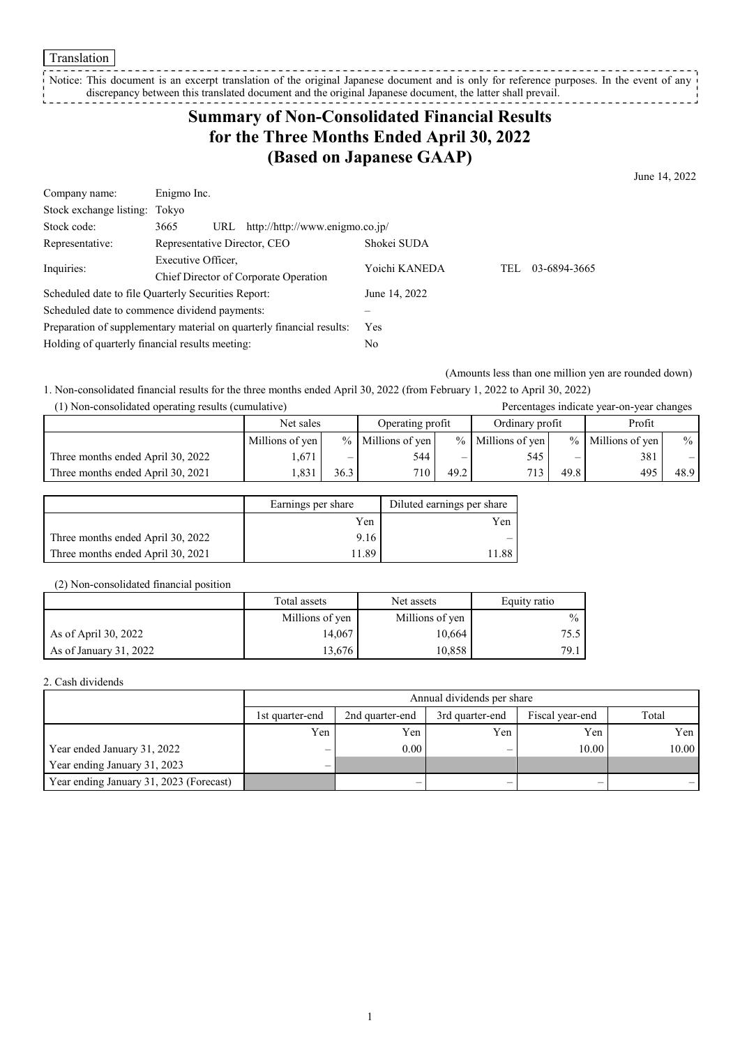Translation

Notice: This document is an excerpt translation of the original Japanese document and is only for reference purposes. In the event of any discrepancy between this translated document and the original Japanese document, the latter shall prevail. 

## **Summary of Non-Consolidated Financial Results for the Three Months Ended April 30, 2022 (Based on Japanese GAAP)**

June 14, 2022

| Company name:                                                         | Enigmo Inc.                                         |               |                     |
|-----------------------------------------------------------------------|-----------------------------------------------------|---------------|---------------------|
| Stock exchange listing: Tokyo                                         |                                                     |               |                     |
| Stock code:                                                           | http://http://www.enigmo.co.jp/<br>3665<br>URL      |               |                     |
| Representative:                                                       | Representative Director, CEO                        | Shokei SUDA   |                     |
| Inquiries:                                                            | Executive Officer,                                  | Yoichi KANEDA | 03-6894-3665<br>TEL |
|                                                                       | Chief Director of Corporate Operation               |               |                     |
|                                                                       | Scheduled date to file Quarterly Securities Report: | June 14, 2022 |                     |
|                                                                       | Scheduled date to commence dividend payments:       |               |                     |
| Preparation of supplementary material on quarterly financial results: |                                                     | <b>Yes</b>    |                     |
| Holding of quarterly financial results meeting:                       |                                                     | No            |                     |

(Amounts less than one million yen are rounded down)

1. Non-consolidated financial results for the three months ended April 30, 2022 (from February 1, 2022 to April 30, 2022)

| (1) Non-consolidated operating results (cumulative) |                 |      |                     |      |                     |      | Percentages indicate year-on-year changes |               |
|-----------------------------------------------------|-----------------|------|---------------------|------|---------------------|------|-------------------------------------------|---------------|
|                                                     | Net sales       |      | Operating profit    |      | Ordinary profit     |      | Profit                                    |               |
|                                                     | Millions of yen |      | $%$ Millions of yen |      | $%$ Millions of yen |      | $%$ Millions of yen                       | $\frac{0}{0}$ |
| Three months ended April 30, 2022                   | .671            |      | 544                 |      | 545                 |      | 381                                       | $-1$          |
| Three months ended April 30, 2021                   | .831            | 36.3 | 710 <sub>1</sub>    | 49.2 | 713                 | 49.8 | 495                                       | 48.9          |

|                                   | Earnings per share | Diluted earnings per share |  |
|-----------------------------------|--------------------|----------------------------|--|
|                                   | Yen                | Yen                        |  |
| Three months ended April 30, 2022 | 9.16               |                            |  |
| Three months ended April 30, 2021 | 1.89               | .88                        |  |

(2) Non-consolidated financial position

|                         | Total assets    | Net assets      |               |
|-------------------------|-----------------|-----------------|---------------|
|                         | Millions of yen | Millions of yen | $\frac{0}{0}$ |
| As of April 30, 2022    | 14,067          | 10,664          | 75.5          |
| As of January $31,2022$ | 13,676          | 10,858          | 79.1          |

## 2. Cash dividends

|                                         | Annual dividends per share |                                                                |     |       |       |  |  |
|-----------------------------------------|----------------------------|----------------------------------------------------------------|-----|-------|-------|--|--|
|                                         | 1st quarter-end            | Total<br>Fiscal year-end<br>2nd quarter-end<br>3rd quarter-end |     |       |       |  |  |
|                                         | Yen                        | Yen                                                            | Yen | Yen   | Yen   |  |  |
| Year ended January 31, 2022             | $\overline{\phantom{0}}$   | 0.00                                                           | –   | 10.00 | 10.00 |  |  |
| Year ending January 31, 2023            | $-$                        |                                                                |     |       |       |  |  |
| Year ending January 31, 2023 (Forecast) |                            |                                                                |     |       |       |  |  |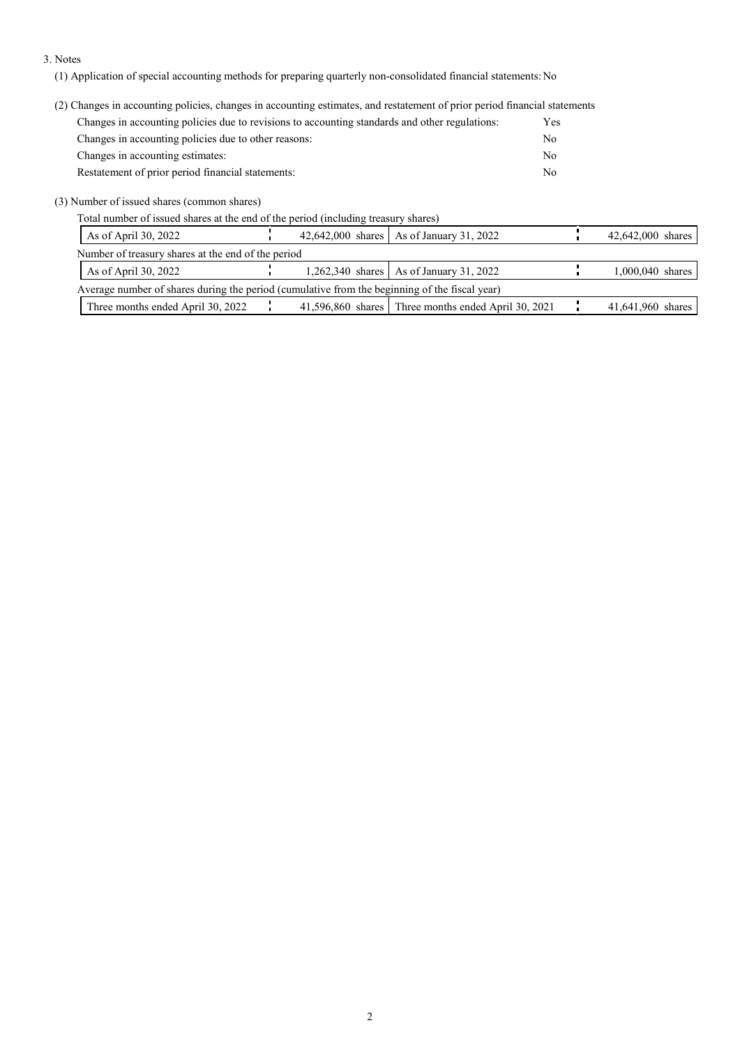## 3. Notes

(1) Application of special accounting methods for preparing quarterly non-consolidated financial statements: No

(2) Changes in accounting policies, changes in accounting estimates, and restatement of prior period financial statements

| Changes in accounting policies due to revisions to accounting standards and other regulations: | Yes. |
|------------------------------------------------------------------------------------------------|------|
| Changes in accounting policies due to other reasons:                                           | No   |
| Changes in accounting estimates:                                                               | No   |
| Restatement of prior period financial statements:                                              | No   |

(3) Number of issued shares (common shares)

Total number of issued shares at the end of the period (including treasury shares)

| As of April 30, 2022                                                                          |  | 42,642,000 shares   As of January 31, 2022          | 42,642,000 shares |
|-----------------------------------------------------------------------------------------------|--|-----------------------------------------------------|-------------------|
| Number of treasury shares at the end of the period                                            |  |                                                     |                   |
| As of April 30, 2022                                                                          |  | $1,262,340$ shares As of January 31, 2022           | 1,000,040 shares  |
| Average number of shares during the period (cumulative from the beginning of the fiscal year) |  |                                                     |                   |
| Three months ended April 30, 2022                                                             |  | 41,596,860 shares Three months ended April 30, 2021 | 41,641,960 shares |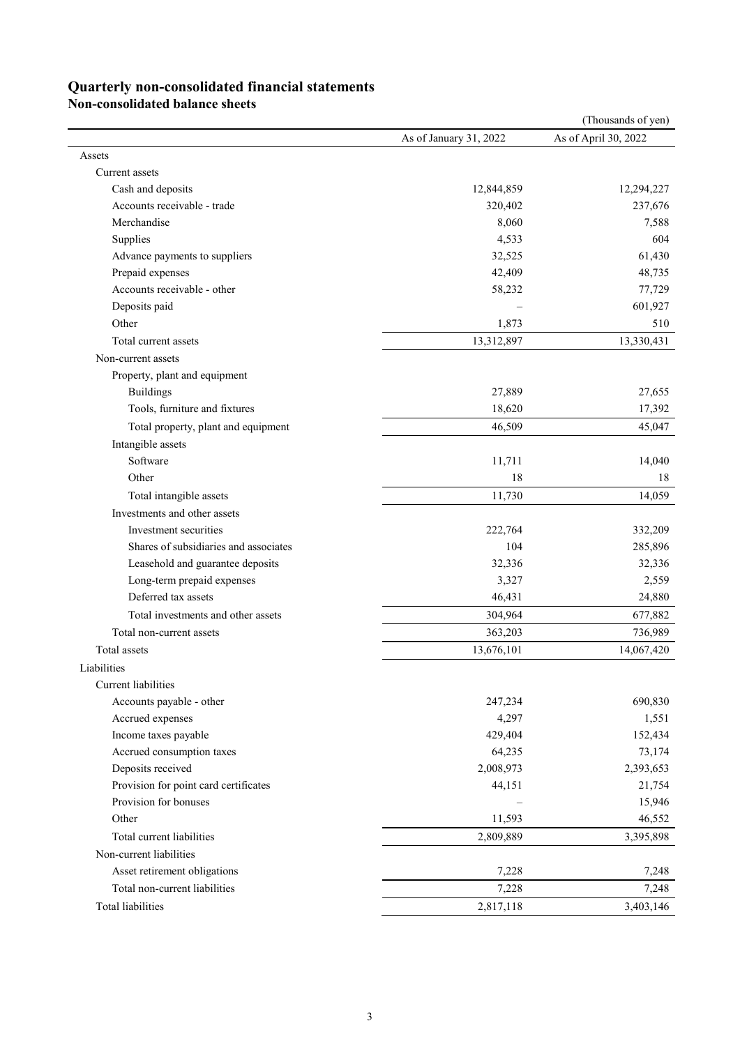## **Quarterly non-consolidated financial statements**

**Non-consolidated balance sheets**

|                                       |                        | (Thousands of yen)   |
|---------------------------------------|------------------------|----------------------|
|                                       | As of January 31, 2022 | As of April 30, 2022 |
| Assets                                |                        |                      |
| Current assets                        |                        |                      |
| Cash and deposits                     | 12,844,859             | 12,294,227           |
| Accounts receivable - trade           | 320,402                | 237,676              |
| Merchandise                           | 8,060                  | 7,588                |
| Supplies                              | 4,533                  | 604                  |
| Advance payments to suppliers         | 32,525                 | 61,430               |
| Prepaid expenses                      | 42,409                 | 48,735               |
| Accounts receivable - other           | 58,232                 | 77,729               |
| Deposits paid                         |                        | 601,927              |
| Other                                 | 1,873                  | 510                  |
| Total current assets                  | 13,312,897             | 13,330,431           |
| Non-current assets                    |                        |                      |
| Property, plant and equipment         |                        |                      |
| <b>Buildings</b>                      | 27,889                 | 27,655               |
| Tools, furniture and fixtures         | 18,620                 | 17,392               |
| Total property, plant and equipment   | 46,509                 | 45,047               |
| Intangible assets                     |                        |                      |
| Software                              | 11,711                 | 14,040               |
| Other                                 | 18                     | 18                   |
| Total intangible assets               | 11,730                 | 14,059               |
| Investments and other assets          |                        |                      |
| Investment securities                 | 222,764                | 332,209              |
| Shares of subsidiaries and associates | 104                    | 285,896              |
| Leasehold and guarantee deposits      | 32,336                 | 32,336               |
| Long-term prepaid expenses            | 3,327                  | 2,559                |
| Deferred tax assets                   | 46,431                 | 24,880               |
| Total investments and other assets    | 304,964                | 677,882              |
| Total non-current assets              | 363,203                | 736,989              |
| Total assets                          | 13,676,101             | 14,067,420           |
| Liabilities                           |                        |                      |
| Current liabilities                   |                        |                      |
| Accounts payable - other              | 247,234                | 690,830              |
| Accrued expenses                      | 4,297                  | 1,551                |
| Income taxes payable                  | 429,404                | 152,434              |
| Accrued consumption taxes             | 64,235                 | 73,174               |
| Deposits received                     | 2,008,973              | 2,393,653            |
| Provision for point card certificates | 44,151                 | 21,754               |
| Provision for bonuses                 |                        | 15,946               |
| Other                                 | 11,593                 | 46,552               |
| Total current liabilities             | 2,809,889              | 3,395,898            |
| Non-current liabilities               |                        |                      |
| Asset retirement obligations          | 7,228                  | 7,248                |
| Total non-current liabilities         | 7,228                  | 7,248                |
| Total liabilities                     | 2,817,118              | 3,403,146            |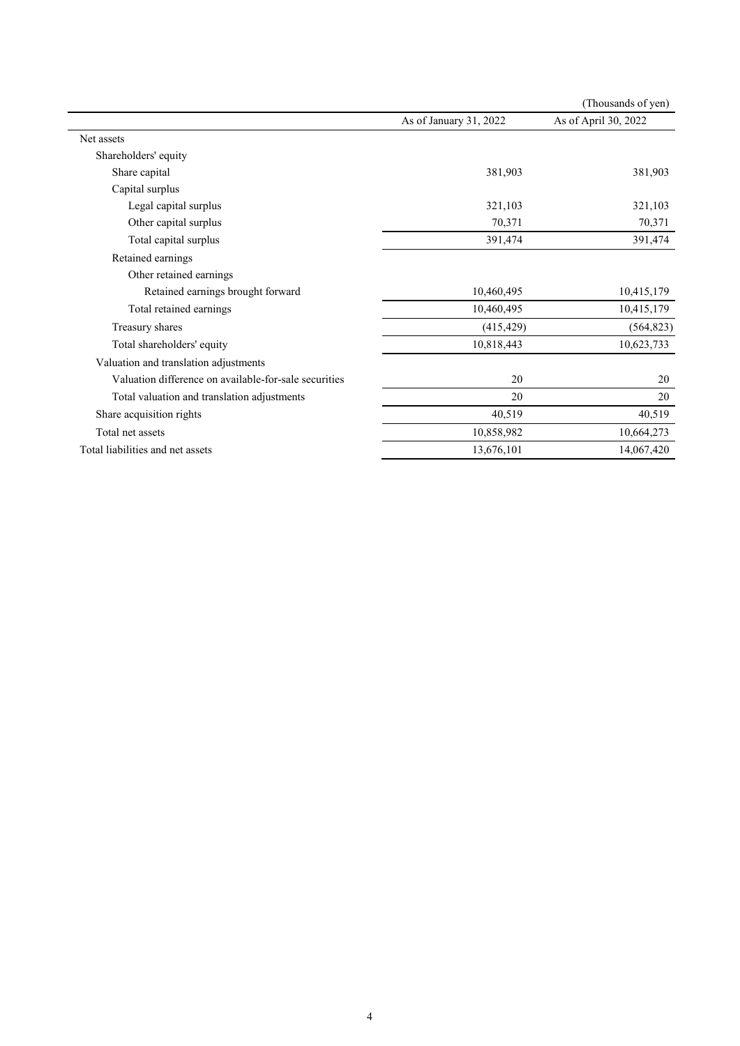|                                                       |                        | (Thousands of yen)   |
|-------------------------------------------------------|------------------------|----------------------|
|                                                       | As of January 31, 2022 | As of April 30, 2022 |
| Net assets                                            |                        |                      |
| Shareholders' equity                                  |                        |                      |
| Share capital                                         | 381,903                | 381,903              |
| Capital surplus                                       |                        |                      |
| Legal capital surplus                                 | 321,103                | 321,103              |
| Other capital surplus                                 | 70,371                 | 70,371               |
| Total capital surplus                                 | 391,474                | 391,474              |
| Retained earnings                                     |                        |                      |
| Other retained earnings                               |                        |                      |
| Retained earnings brought forward                     | 10,460,495             | 10,415,179           |
| Total retained earnings                               | 10,460,495             | 10,415,179           |
| Treasury shares                                       | (415, 429)             | (564, 823)           |
| Total shareholders' equity                            | 10,818,443             | 10,623,733           |
| Valuation and translation adjustments                 |                        |                      |
| Valuation difference on available-for-sale securities | 20                     | 20                   |
| Total valuation and translation adjustments           | 20                     | 20                   |
| Share acquisition rights                              | 40,519                 | 40,519               |
| Total net assets                                      | 10,858,982             | 10,664,273           |
| Total liabilities and net assets                      | 13,676,101             | 14,067,420           |